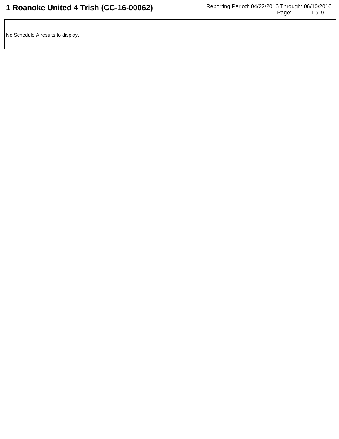No Schedule A results to display.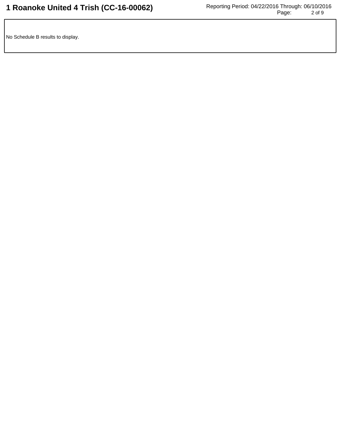No Schedule B results to display.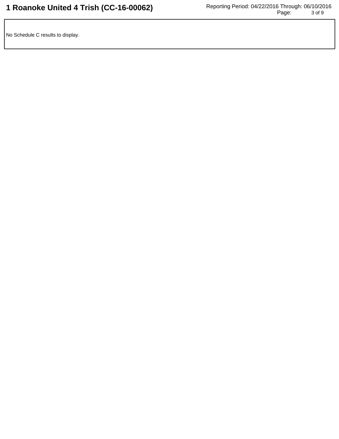No Schedule C results to display.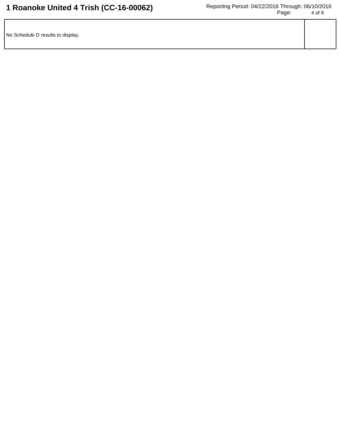| No Schedule D results to display. |  |
|-----------------------------------|--|
|                                   |  |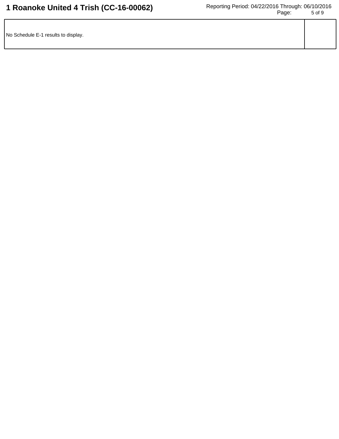| No Schedule E-1 results to display. |  |
|-------------------------------------|--|
|                                     |  |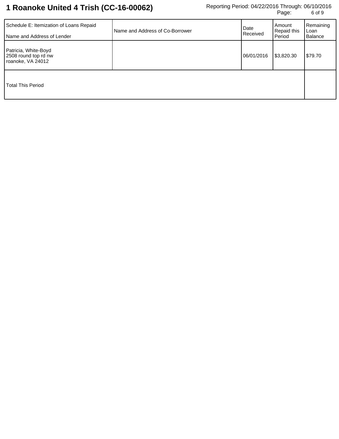| Schedule E: Itemization of Loans Repaid<br>Name and Address of Lender | Name and Address of Co-Borrower | Date<br>Received | Amount<br>Repaid this<br><b>Period</b> | Remaining<br>Loan<br>Balance |
|-----------------------------------------------------------------------|---------------------------------|------------------|----------------------------------------|------------------------------|
| Patricia, White-Boyd<br>2508 round top rd nw<br>roanoke, VA 24012     |                                 | 06/01/2016       | \$3,820.30                             | \$79.70                      |
| <b>Total This Period</b>                                              |                                 |                  |                                        |                              |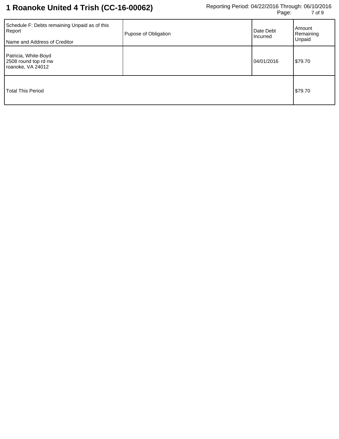| Schedule F: Debts remaining Unpaid as of this<br>Report<br>Name and Address of Creditor | Pupose of Obligation | Date Debt<br>Incurred | Amount<br>Remaining<br>Unpaid |
|-----------------------------------------------------------------------------------------|----------------------|-----------------------|-------------------------------|
| Patricia, White-Boyd<br>2508 round top rd nw<br>roanoke, VA 24012                       |                      | 04/01/2016            | \$79.70                       |
| <b>Total This Period</b>                                                                |                      |                       | \$79.70                       |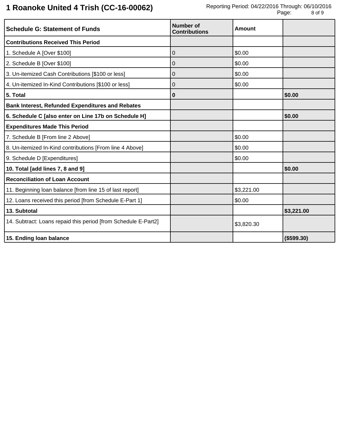## **1 Roanoke United 4 Trish (CC-16-00062)**

| <b>Schedule G: Statement of Funds</b>                          | Number of<br><b>Contributions</b> | Amount     |            |
|----------------------------------------------------------------|-----------------------------------|------------|------------|
| <b>Contributions Received This Period</b>                      |                                   |            |            |
| 1. Schedule A [Over \$100]                                     | $\mathbf 0$                       | \$0.00     |            |
| 2. Schedule B [Over \$100]                                     | 0                                 | \$0.00     |            |
| 3. Un-itemized Cash Contributions [\$100 or less]              | 0                                 | \$0.00     |            |
| 4. Un-itemized In-Kind Contributions [\$100 or less]           | $\overline{0}$                    | \$0.00     |            |
| 5. Total                                                       | $\bf{0}$                          |            | \$0.00     |
| <b>Bank Interest, Refunded Expenditures and Rebates</b>        |                                   |            |            |
| 6. Schedule C [also enter on Line 17b on Schedule H]           |                                   |            | \$0.00     |
| <b>Expenditures Made This Period</b>                           |                                   |            |            |
| 7. Schedule B [From line 2 Above]                              |                                   | \$0.00     |            |
| 8. Un-itemized In-Kind contributions [From line 4 Above]       |                                   | \$0.00     |            |
| 9. Schedule D [Expenditures]                                   |                                   | \$0.00     |            |
| 10. Total [add lines 7, 8 and 9]                               |                                   |            | \$0.00     |
| <b>Reconciliation of Loan Account</b>                          |                                   |            |            |
| 11. Beginning loan balance [from line 15 of last report]       |                                   | \$3,221.00 |            |
| 12. Loans received this period [from Schedule E-Part 1]        |                                   | \$0.00     |            |
| 13. Subtotal                                                   |                                   |            | \$3,221.00 |
| 14. Subtract: Loans repaid this period [from Schedule E-Part2] |                                   | \$3,820.30 |            |
| 15. Ending loan balance                                        |                                   |            | (\$599.30) |